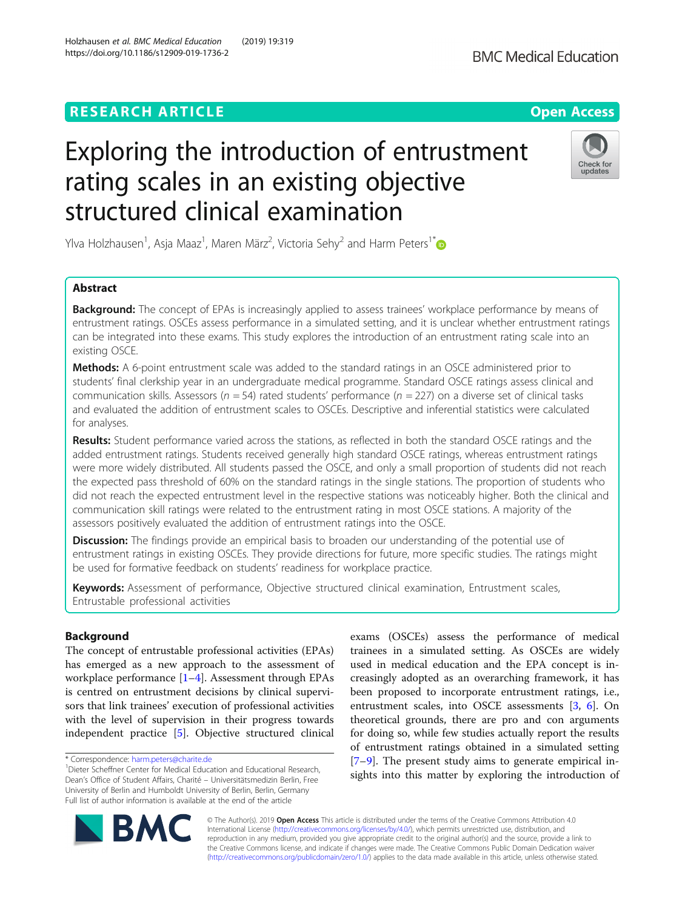## **RESEARCH ARTICLE Example 2014 12:30 The Contract of Contract ACCESS**

# Exploring the introduction of entrustment rating scales in an existing objective structured clinical examination

Ylva Holzhausen $^1$ , Asja Maaz $^1$ , Maren März $^2$ , Victoria Sehy $^2$  and Harm Peters $^1^\ast$ 

## Abstract

**Background:** The concept of EPAs is increasingly applied to assess trainees' workplace performance by means of entrustment ratings. OSCEs assess performance in a simulated setting, and it is unclear whether entrustment ratings can be integrated into these exams. This study explores the introduction of an entrustment rating scale into an existing OSCE.

Methods: A 6-point entrustment scale was added to the standard ratings in an OSCE administered prior to students' final clerkship year in an undergraduate medical programme. Standard OSCE ratings assess clinical and communication skills. Assessors ( $n = 54$ ) rated students' performance ( $n = 227$ ) on a diverse set of clinical tasks and evaluated the addition of entrustment scales to OSCEs. Descriptive and inferential statistics were calculated for analyses.

Results: Student performance varied across the stations, as reflected in both the standard OSCE ratings and the added entrustment ratings. Students received generally high standard OSCE ratings, whereas entrustment ratings were more widely distributed. All students passed the OSCE, and only a small proportion of students did not reach the expected pass threshold of 60% on the standard ratings in the single stations. The proportion of students who did not reach the expected entrustment level in the respective stations was noticeably higher. Both the clinical and communication skill ratings were related to the entrustment rating in most OSCE stations. A majority of the assessors positively evaluated the addition of entrustment ratings into the OSCE.

**Discussion:** The findings provide an empirical basis to broaden our understanding of the potential use of entrustment ratings in existing OSCEs. They provide directions for future, more specific studies. The ratings might be used for formative feedback on students' readiness for workplace practice.

Keywords: Assessment of performance, Objective structured clinical examination, Entrustment scales, Entrustable professional activities

## Background

The concept of entrustable professional activities (EPAs) has emerged as a new approach to the assessment of workplace performance [[1](#page-7-0)–[4\]](#page-7-0). Assessment through EPAs is centred on entrustment decisions by clinical supervisors that link trainees' execution of professional activities with the level of supervision in their progress towards independent practice [\[5\]](#page-7-0). Objective structured clinical exams (OSCEs) assess the performance of medical trainees in a simulated setting. As OSCEs are widely used in medical education and the EPA concept is increasingly adopted as an overarching framework, it has been proposed to incorporate entrustment ratings, i.e., entrustment scales, into OSCE assessments [\[3](#page-7-0), [6](#page-7-0)]. On theoretical grounds, there are pro and con arguments for doing so, while few studies actually report the results of entrustment ratings obtained in a simulated setting [[7](#page-7-0)–[9\]](#page-7-0). The present study aims to generate empirical insights into this matter by exploring the introduction of

Holzhausen et al. BMC Medical Education (2019) 19:319 https://doi.org/10.1186/s12909-019-1736-2

**BM** 

© The Author(s). 2019 Open Access This article is distributed under the terms of the Creative Commons Attribution 4.0 International License [\(http://creativecommons.org/licenses/by/4.0/](http://creativecommons.org/licenses/by/4.0/)), which permits unrestricted use, distribution, and reproduction in any medium, provided you give appropriate credit to the original author(s) and the source, provide a link to the Creative Commons license, and indicate if changes were made. The Creative Commons Public Domain Dedication waiver [\(http://creativecommons.org/publicdomain/zero/1.0/](http://creativecommons.org/publicdomain/zero/1.0/)) applies to the data made available in this article, unless otherwise stated.



<sup>\*</sup> Correspondence: [harm.peters@charite.de](mailto:harm.peters@charite.de) <sup>1</sup>

<sup>&</sup>lt;sup>1</sup> Dieter Scheffner Center for Medical Education and Educational Research, Dean's Office of Student Affairs, Charité – Universitätsmedizin Berlin, Free University of Berlin and Humboldt University of Berlin, Berlin, Germany Full list of author information is available at the end of the article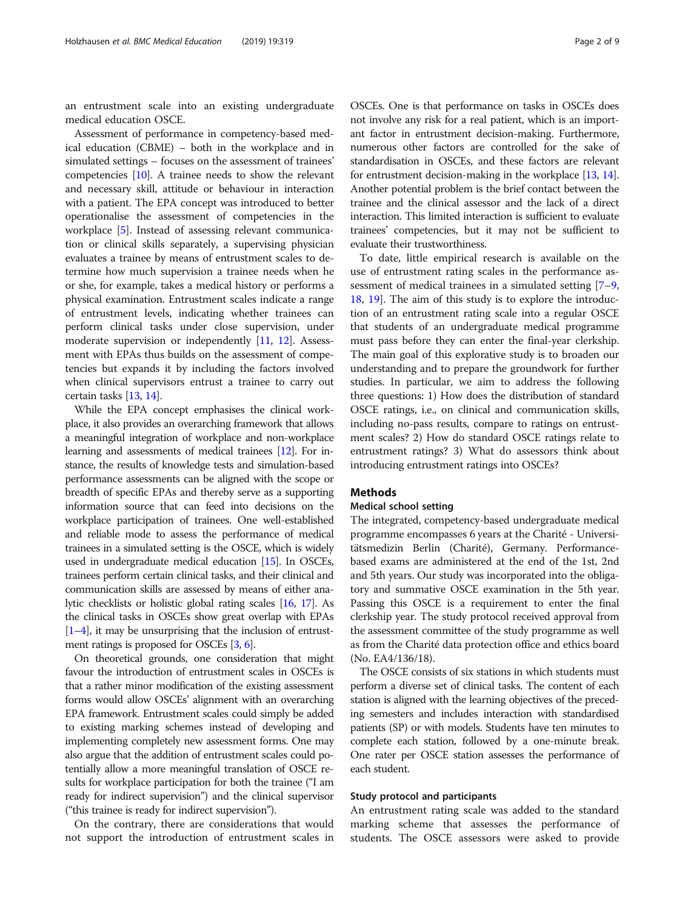an entrustment scale into an existing undergraduate medical education OSCE.

Assessment of performance in competency-based medical education (CBME) – both in the workplace and in simulated settings – focuses on the assessment of trainees' competencies [\[10\]](#page-7-0). A trainee needs to show the relevant and necessary skill, attitude or behaviour in interaction with a patient. The EPA concept was introduced to better operationalise the assessment of competencies in the workplace [[5](#page-7-0)]. Instead of assessing relevant communication or clinical skills separately, a supervising physician evaluates a trainee by means of entrustment scales to determine how much supervision a trainee needs when he or she, for example, takes a medical history or performs a physical examination. Entrustment scales indicate a range of entrustment levels, indicating whether trainees can perform clinical tasks under close supervision, under moderate supervision or independently [[11](#page-7-0), [12](#page-7-0)]. Assessment with EPAs thus builds on the assessment of competencies but expands it by including the factors involved when clinical supervisors entrust a trainee to carry out certain tasks [\[13,](#page-7-0) [14\]](#page-7-0).

While the EPA concept emphasises the clinical workplace, it also provides an overarching framework that allows a meaningful integration of workplace and non-workplace learning and assessments of medical trainees [\[12](#page-7-0)]. For instance, the results of knowledge tests and simulation-based performance assessments can be aligned with the scope or breadth of specific EPAs and thereby serve as a supporting information source that can feed into decisions on the workplace participation of trainees. One well-established and reliable mode to assess the performance of medical trainees in a simulated setting is the OSCE, which is widely used in undergraduate medical education [\[15\]](#page-8-0). In OSCEs, trainees perform certain clinical tasks, and their clinical and communication skills are assessed by means of either analytic checklists or holistic global rating scales [\[16,](#page-8-0) [17\]](#page-8-0). As the clinical tasks in OSCEs show great overlap with EPAs  $[1-4]$  $[1-4]$  $[1-4]$  $[1-4]$ , it may be unsurprising that the inclusion of entrustment ratings is proposed for OSCEs [\[3,](#page-7-0) [6](#page-7-0)].

On theoretical grounds, one consideration that might favour the introduction of entrustment scales in OSCEs is that a rather minor modification of the existing assessment forms would allow OSCEs' alignment with an overarching EPA framework. Entrustment scales could simply be added to existing marking schemes instead of developing and implementing completely new assessment forms. One may also argue that the addition of entrustment scales could potentially allow a more meaningful translation of OSCE results for workplace participation for both the trainee ("I am ready for indirect supervision") and the clinical supervisor ("this trainee is ready for indirect supervision").

On the contrary, there are considerations that would not support the introduction of entrustment scales in

OSCEs. One is that performance on tasks in OSCEs does not involve any risk for a real patient, which is an important factor in entrustment decision-making. Furthermore, numerous other factors are controlled for the sake of standardisation in OSCEs, and these factors are relevant for entrustment decision-making in the workplace [[13](#page-7-0), [14](#page-7-0)]. Another potential problem is the brief contact between the trainee and the clinical assessor and the lack of a direct interaction. This limited interaction is sufficient to evaluate trainees' competencies, but it may not be sufficient to evaluate their trustworthiness.

To date, little empirical research is available on the use of entrustment rating scales in the performance assessment of medical trainees in a simulated setting [[7](#page-7-0)–[9](#page-7-0), [18,](#page-8-0) [19](#page-8-0)]. The aim of this study is to explore the introduction of an entrustment rating scale into a regular OSCE that students of an undergraduate medical programme must pass before they can enter the final-year clerkship. The main goal of this explorative study is to broaden our understanding and to prepare the groundwork for further studies. In particular, we aim to address the following three questions: 1) How does the distribution of standard OSCE ratings, i.e., on clinical and communication skills, including no-pass results, compare to ratings on entrustment scales? 2) How do standard OSCE ratings relate to entrustment ratings? 3) What do assessors think about introducing entrustment ratings into OSCEs?

## **Methods**

#### Medical school setting

The integrated, competency-based undergraduate medical programme encompasses 6 years at the Charité - Universitätsmedizin Berlin (Charité), Germany. Performancebased exams are administered at the end of the 1st, 2nd and 5th years. Our study was incorporated into the obligatory and summative OSCE examination in the 5th year. Passing this OSCE is a requirement to enter the final clerkship year. The study protocol received approval from the assessment committee of the study programme as well as from the Charité data protection office and ethics board (No. EA4/136/18).

The OSCE consists of six stations in which students must perform a diverse set of clinical tasks. The content of each station is aligned with the learning objectives of the preceding semesters and includes interaction with standardised patients (SP) or with models. Students have ten minutes to complete each station, followed by a one-minute break. One rater per OSCE station assesses the performance of each student.

#### Study protocol and participants

An entrustment rating scale was added to the standard marking scheme that assesses the performance of students. The OSCE assessors were asked to provide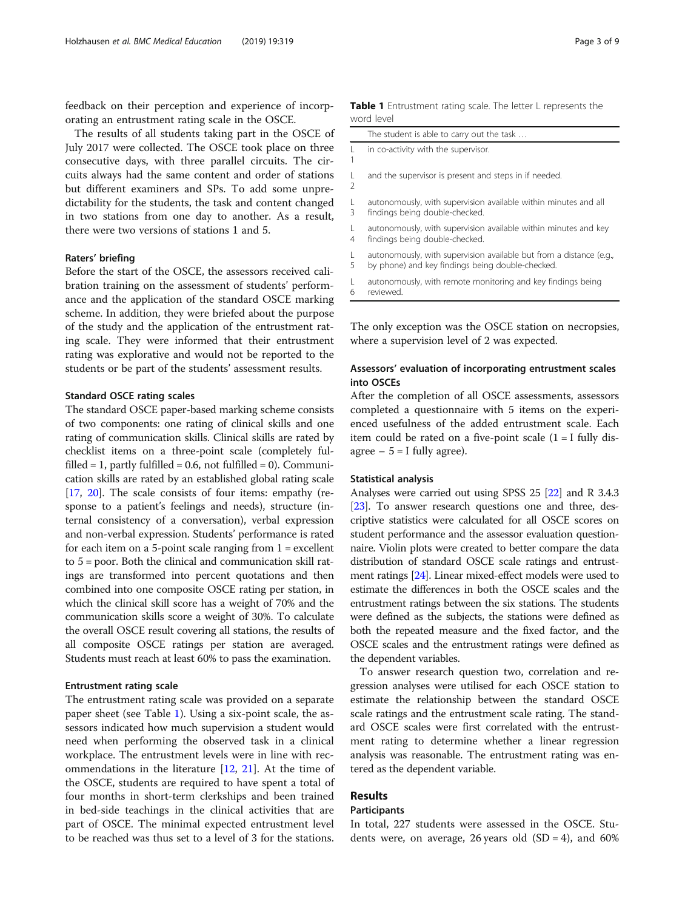<span id="page-2-0"></span>feedback on their perception and experience of incorporating an entrustment rating scale in the OSCE.

The results of all students taking part in the OSCE of July 2017 were collected. The OSCE took place on three consecutive days, with three parallel circuits. The circuits always had the same content and order of stations but different examiners and SPs. To add some unpredictability for the students, the task and content changed in two stations from one day to another. As a result, there were two versions of stations 1 and 5.

## Raters' briefing

Before the start of the OSCE, the assessors received calibration training on the assessment of students' performance and the application of the standard OSCE marking scheme. In addition, they were briefed about the purpose of the study and the application of the entrustment rating scale. They were informed that their entrustment rating was explorative and would not be reported to the students or be part of the students' assessment results.

#### Standard OSCE rating scales

The standard OSCE paper-based marking scheme consists of two components: one rating of clinical skills and one rating of communication skills. Clinical skills are rated by checklist items on a three-point scale (completely fulfilled = 1, partly fulfilled =  $0.6$ , not fulfilled =  $0$ ). Communication skills are rated by an established global rating scale [[17](#page-8-0), [20\]](#page-8-0). The scale consists of four items: empathy (response to a patient's feelings and needs), structure (internal consistency of a conversation), verbal expression and non-verbal expression. Students' performance is rated for each item on a 5-point scale ranging from  $1 =$  excellent to 5 = poor. Both the clinical and communication skill ratings are transformed into percent quotations and then combined into one composite OSCE rating per station, in which the clinical skill score has a weight of 70% and the communication skills score a weight of 30%. To calculate the overall OSCE result covering all stations, the results of all composite OSCE ratings per station are averaged. Students must reach at least 60% to pass the examination.

#### Entrustment rating scale

The entrustment rating scale was provided on a separate paper sheet (see Table 1). Using a six-point scale, the assessors indicated how much supervision a student would need when performing the observed task in a clinical workplace. The entrustment levels were in line with recommendations in the literature [[12](#page-7-0), [21](#page-8-0)]. At the time of the OSCE, students are required to have spent a total of four months in short-term clerkships and been trained in bed-side teachings in the clinical activities that are part of OSCE. The minimal expected entrustment level to be reached was thus set to a level of 3 for the stations.

|                               | <b>Table 1</b> Entrustment rating scale. The letter L represents the<br>word level |
|-------------------------------|------------------------------------------------------------------------------------|
|                               | The student is able to carry out the task                                          |
| $\mathbf{L}$                  | in co-activity with the supervisor.                                                |
| $\mathbf{L}$<br>$\mathcal{P}$ | and the supervisor is present and steps in if needed.                              |

- $\mathbf{L}$ 3 autonomously, with supervision available within minutes and all findings being double-checked.
- $\mathbf{L}$ 4 autonomously, with supervision available within minutes and key findings being double-checked.
- $\mathbf{L}$ 5 autonomously, with supervision available but from a distance (e.g., by phone) and key findings being double-checked.
- $\mathbf{L}$ 6 autonomously, with remote monitoring and key findings being reviewed.

The only exception was the OSCE station on necropsies, where a supervision level of 2 was expected.

## Assessors' evaluation of incorporating entrustment scales into OSCEs

After the completion of all OSCE assessments, assessors completed a questionnaire with 5 items on the experienced usefulness of the added entrustment scale. Each item could be rated on a five-point scale  $(1 = I$  fully disagree  $-5 =$  I fully agree).

#### Statistical analysis

Analyses were carried out using SPSS 25 [[22](#page-8-0)] and R 3.4.3 [[23](#page-8-0)]. To answer research questions one and three, descriptive statistics were calculated for all OSCE scores on student performance and the assessor evaluation questionnaire. Violin plots were created to better compare the data distribution of standard OSCE scale ratings and entrustment ratings [\[24\]](#page-8-0). Linear mixed-effect models were used to estimate the differences in both the OSCE scales and the entrustment ratings between the six stations. The students were defined as the subjects, the stations were defined as both the repeated measure and the fixed factor, and the OSCE scales and the entrustment ratings were defined as the dependent variables.

To answer research question two, correlation and regression analyses were utilised for each OSCE station to estimate the relationship between the standard OSCE scale ratings and the entrustment scale rating. The standard OSCE scales were first correlated with the entrustment rating to determine whether a linear regression analysis was reasonable. The entrustment rating was entered as the dependent variable.

## Results

### Participants

In total, 227 students were assessed in the OSCE. Students were, on average, 26 years old  $(SD = 4)$ , and 60%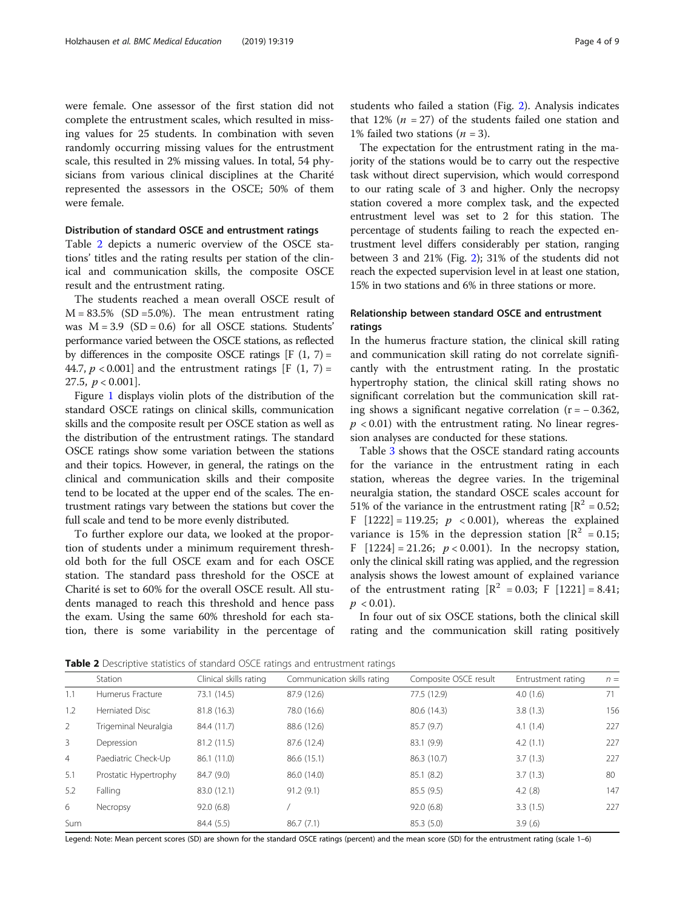were female. One assessor of the first station did not complete the entrustment scales, which resulted in missing values for 25 students. In combination with seven randomly occurring missing values for the entrustment scale, this resulted in 2% missing values. In total, 54 physicians from various clinical disciplines at the Charité represented the assessors in the OSCE; 50% of them were female.

## Distribution of standard OSCE and entrustment ratings

Table 2 depicts a numeric overview of the OSCE stations' titles and the rating results per station of the clinical and communication skills, the composite OSCE result and the entrustment rating.

The students reached a mean overall OSCE result of  $M = 83.5\%$  (SD = 5.0%). The mean entrustment rating was  $M = 3.9$  (SD = 0.6) for all OSCE stations. Students' performance varied between the OSCE stations, as reflected by differences in the composite OSCE ratings  $[F(1, 7) =$ 44.7,  $p < 0.001$ ] and the entrustment ratings [F (1, 7) = 27.5,  $p < 0.001$ ].

Figure [1](#page-4-0) displays violin plots of the distribution of the standard OSCE ratings on clinical skills, communication skills and the composite result per OSCE station as well as the distribution of the entrustment ratings. The standard OSCE ratings show some variation between the stations and their topics. However, in general, the ratings on the clinical and communication skills and their composite tend to be located at the upper end of the scales. The entrustment ratings vary between the stations but cover the full scale and tend to be more evenly distributed.

To further explore our data, we looked at the proportion of students under a minimum requirement threshold both for the full OSCE exam and for each OSCE station. The standard pass threshold for the OSCE at Charité is set to 60% for the overall OSCE result. All students managed to reach this threshold and hence pass the exam. Using the same 60% threshold for each station, there is some variability in the percentage of students who failed a station (Fig. [2\)](#page-5-0). Analysis indicates that 12% ( $n = 27$ ) of the students failed one station and 1% failed two stations  $(n = 3)$ .

The expectation for the entrustment rating in the majority of the stations would be to carry out the respective task without direct supervision, which would correspond to our rating scale of 3 and higher. Only the necropsy station covered a more complex task, and the expected entrustment level was set to 2 for this station. The percentage of students failing to reach the expected entrustment level differs considerably per station, ranging between 3 and 21% (Fig. [2](#page-5-0)); 31% of the students did not reach the expected supervision level in at least one station, 15% in two stations and 6% in three stations or more.

## Relationship between standard OSCE and entrustment ratings

In the humerus fracture station, the clinical skill rating and communication skill rating do not correlate significantly with the entrustment rating. In the prostatic hypertrophy station, the clinical skill rating shows no significant correlation but the communication skill rating shows a significant negative correlation ( $r = -0.362$ ,  $p < 0.01$ ) with the entrustment rating. No linear regression analyses are conducted for these stations.

Table [3](#page-5-0) shows that the OSCE standard rating accounts for the variance in the entrustment rating in each station, whereas the degree varies. In the trigeminal neuralgia station, the standard OSCE scales account for 51% of the variance in the entrustment rating  $[R^2 = 0.52;$ F  $[1222] = 119.25$ ;  $p \le 0.001$ ), whereas the explained variance is 15% in the depression station  $\mathbb{R}^2 = 0.15$ ; F  $[1224] = 21.26$ ;  $p < 0.001$ ). In the necropsy station, only the clinical skill rating was applied, and the regression analysis shows the lowest amount of explained variance of the entrustment rating  $[R^2 = 0.03; F [1221] = 8.41;$  $p < 0.01$ ).

In four out of six OSCE stations, both the clinical skill rating and the communication skill rating positively

Table 2 Descriptive statistics of standard OSCE ratings and entrustment ratings

|                | Station               | Clinical skills rating | Communication skills rating | Composite OSCE result | Entrustment rating | $n =$ |
|----------------|-----------------------|------------------------|-----------------------------|-----------------------|--------------------|-------|
| 1.1            | Humerus Fracture      | 73.1 (14.5)            | 87.9 (12.6)                 | 77.5 (12.9)           | 4.0(1.6)           | 71    |
| 1.2            | Herniated Disc        | 81.8 (16.3)            | 78.0 (16.6)                 | 80.6 (14.3)           | 3.8(1.3)           | 156   |
| $\overline{2}$ | Trigeminal Neuralgia  | 84.4 (11.7)            | 88.6 (12.6)                 | 85.7 (9.7)            | 4.1(1.4)           | 227   |
| 3              | Depression            | 81.2 (11.5)            | 87.6 (12.4)                 | 83.1 (9.9)            | 4.2(1.1)           | 227   |
| $\overline{4}$ | Paediatric Check-Up   | 86.1 (11.0)            | 86.6 (15.1)                 | 86.3 (10.7)           | 3.7(1.3)           | 227   |
| 5.1            | Prostatic Hypertrophy | 84.7 (9.0)             | 86.0 (14.0)                 | 85.1 (8.2)            | 3.7(1.3)           | 80    |
| 5.2            | Falling               | 83.0 (12.1)            | 91.2(9.1)                   | 85.5(9.5)             | 4.2(.8)            | 147   |
| 6              | Necropsy              | 92.0(6.8)              |                             | 92.0(6.8)             | 3.3(1.5)           | 227   |
| Sum            |                       | 84.4 (5.5)             | 86.7(7.1)                   | 85.3(5.0)             | 3.9(6)             |       |
|                |                       |                        |                             |                       |                    |       |

Legend: Note: Mean percent scores (SD) are shown for the standard OSCE ratings (percent) and the mean score (SD) for the entrustment rating (scale 1–6)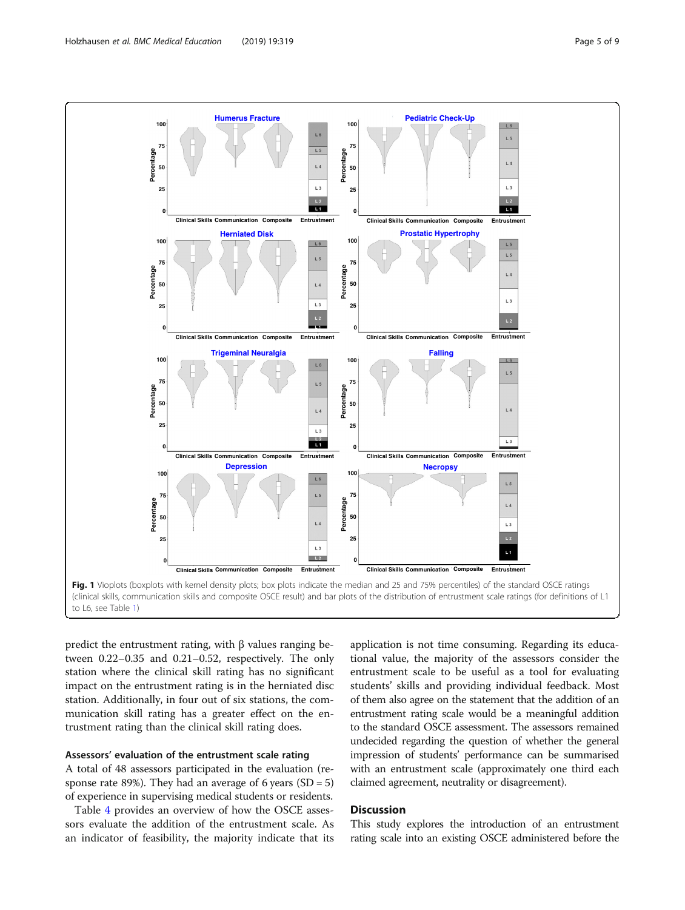<span id="page-4-0"></span>

predict the entrustment rating, with β values ranging between 0.22–0.35 and 0.21–0.52, respectively. The only station where the clinical skill rating has no significant impact on the entrustment rating is in the herniated disc station. Additionally, in four out of six stations, the communication skill rating has a greater effect on the entrustment rating than the clinical skill rating does.

## Assessors' evaluation of the entrustment scale rating

A total of 48 assessors participated in the evaluation (response rate 89%). They had an average of 6 years  $(SD = 5)$ of experience in supervising medical students or residents.

Table [4](#page-6-0) provides an overview of how the OSCE assessors evaluate the addition of the entrustment scale. As an indicator of feasibility, the majority indicate that its

application is not time consuming. Regarding its educational value, the majority of the assessors consider the entrustment scale to be useful as a tool for evaluating students' skills and providing individual feedback. Most of them also agree on the statement that the addition of an entrustment rating scale would be a meaningful addition to the standard OSCE assessment. The assessors remained undecided regarding the question of whether the general impression of students' performance can be summarised with an entrustment scale (approximately one third each claimed agreement, neutrality or disagreement).

## **Discussion**

This study explores the introduction of an entrustment rating scale into an existing OSCE administered before the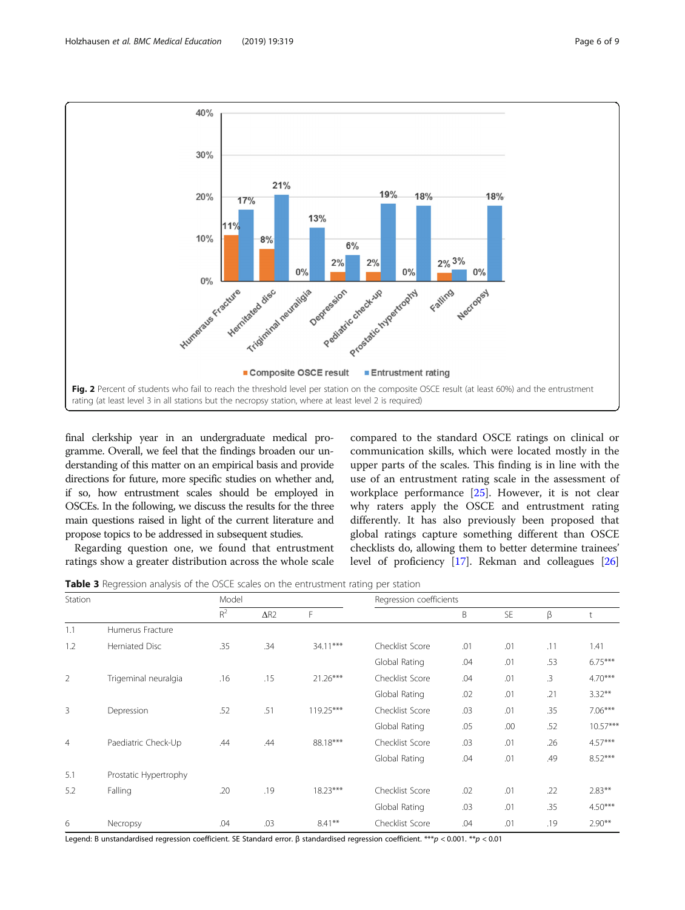<span id="page-5-0"></span>

final clerkship year in an undergraduate medical programme. Overall, we feel that the findings broaden our understanding of this matter on an empirical basis and provide directions for future, more specific studies on whether and, if so, how entrustment scales should be employed in OSCEs. In the following, we discuss the results for the three main questions raised in light of the current literature and propose topics to be addressed in subsequent studies.

Regarding question one, we found that entrustment ratings show a greater distribution across the whole scale

compared to the standard OSCE ratings on clinical or communication skills, which were located mostly in the upper parts of the scales. This finding is in line with the use of an entrustment rating scale in the assessment of workplace performance [\[25\]](#page-8-0). However, it is not clear why raters apply the OSCE and entrustment rating differently. It has also previously been proposed that global ratings capture something different than OSCE checklists do, allowing them to better determine trainees' level of proficiency [[17](#page-8-0)]. Rekman and colleagues [[26](#page-8-0)]

Table 3 Regression analysis of the OSCE scales on the entrustment rating per station

| Station        |                       | Model          |             |             | Regression coefficients |     |           |        |            |
|----------------|-----------------------|----------------|-------------|-------------|-------------------------|-----|-----------|--------|------------|
|                |                       | $\mathsf{R}^2$ | $\Delta$ R2 | F           |                         | Β   | <b>SE</b> | β      | t          |
| 1.1            | Humerus Fracture      |                |             |             |                         |     |           |        |            |
| 1.2            | Herniated Disc        | .35            | .34         | $34.11***$  | Checklist Score         | .01 | .01       | .11    | 1.41       |
|                |                       |                |             |             | Global Rating           | .04 | .01       | .53    | $6.75***$  |
| 2              | Trigeminal neuralgia  | .16            | .15         | $21.26***$  | Checklist Score         | .04 | .01       | $.3\,$ | $4.70***$  |
|                |                       |                |             |             | Global Rating           | .02 | .01       | .21    | $3.32***$  |
| 3              | Depression            | .52            | .51         | $119.25***$ | Checklist Score         | .03 | .01       | .35    | $7.06***$  |
|                |                       |                |             |             | Global Rating           | .05 | .00       | .52    | $10.57***$ |
| $\overline{4}$ | Paediatric Check-Up   | .44            | .44         | 88.18***    | Checklist Score         | .03 | .01       | .26    | $4.57***$  |
|                |                       |                |             |             | Global Rating           | .04 | .01       | .49    | $8.52***$  |
| 5.1            | Prostatic Hypertrophy |                |             |             |                         |     |           |        |            |
| 5.2            | Falling               | .20            | .19         | $18.23***$  | Checklist Score         | .02 | .01       | .22    | $2.83***$  |
|                |                       |                |             |             | Global Rating           | .03 | .01       | .35    | $4.50***$  |
| 6              | Necropsy              | .04            | .03         | $8.41***$   | Checklist Score         | .04 | .01       | .19    | $2.90**$   |

Legend: B unstandardised regression coefficient. SE Standard error. β standardised regression coefficient. \*\*\*p < 0.001. \*\*p < 0.01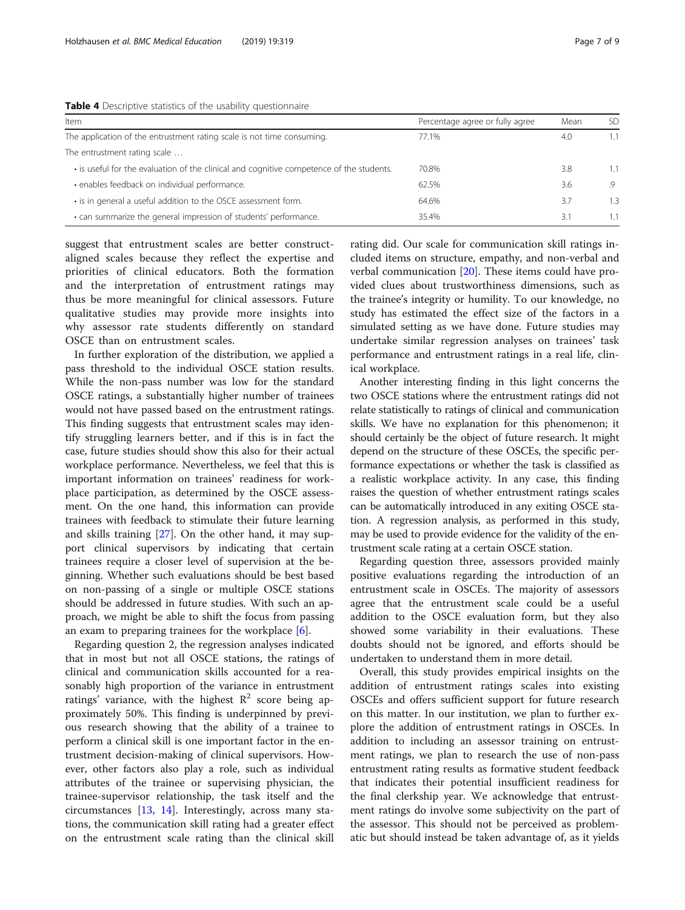<span id="page-6-0"></span>

| Table 4 Descriptive statistics of the usability questionnaire |  |  |  |
|---------------------------------------------------------------|--|--|--|
|---------------------------------------------------------------|--|--|--|

| Item                                                                                     | Percentage agree or fully agree | Mean | SD  |  |
|------------------------------------------------------------------------------------------|---------------------------------|------|-----|--|
| The application of the entrustment rating scale is not time consuming.                   | 77.1%                           | 4.0  | 1.1 |  |
| The entrustment rating scale                                                             |                                 |      |     |  |
| • is useful for the evaluation of the clinical and cognitive competence of the students. | 70.8%                           | 3.8  |     |  |
| · enables feedback on individual performance.                                            | 62.5%                           | 3.6  | -9  |  |
| • is in general a useful addition to the OSCE assessment form.                           | 64.6%                           | 3.7  | 1.3 |  |
| . can summarize the general impression of students' performance.                         | 35.4%                           | 3.1  |     |  |

suggest that entrustment scales are better constructaligned scales because they reflect the expertise and priorities of clinical educators. Both the formation and the interpretation of entrustment ratings may thus be more meaningful for clinical assessors. Future qualitative studies may provide more insights into why assessor rate students differently on standard OSCE than on entrustment scales.

In further exploration of the distribution, we applied a pass threshold to the individual OSCE station results. While the non-pass number was low for the standard OSCE ratings, a substantially higher number of trainees would not have passed based on the entrustment ratings. This finding suggests that entrustment scales may identify struggling learners better, and if this is in fact the case, future studies should show this also for their actual workplace performance. Nevertheless, we feel that this is important information on trainees' readiness for workplace participation, as determined by the OSCE assessment. On the one hand, this information can provide trainees with feedback to stimulate their future learning and skills training [\[27](#page-8-0)]. On the other hand, it may support clinical supervisors by indicating that certain trainees require a closer level of supervision at the beginning. Whether such evaluations should be best based on non-passing of a single or multiple OSCE stations should be addressed in future studies. With such an approach, we might be able to shift the focus from passing an exam to preparing trainees for the workplace [\[6](#page-7-0)].

Regarding question 2, the regression analyses indicated that in most but not all OSCE stations, the ratings of clinical and communication skills accounted for a reasonably high proportion of the variance in entrustment ratings' variance, with the highest  $\mathbb{R}^2$  score being approximately 50%. This finding is underpinned by previous research showing that the ability of a trainee to perform a clinical skill is one important factor in the entrustment decision-making of clinical supervisors. However, other factors also play a role, such as individual attributes of the trainee or supervising physician, the trainee-supervisor relationship, the task itself and the circumstances [[13,](#page-7-0) [14\]](#page-7-0). Interestingly, across many stations, the communication skill rating had a greater effect on the entrustment scale rating than the clinical skill

rating did. Our scale for communication skill ratings included items on structure, empathy, and non-verbal and verbal communication [[20\]](#page-8-0). These items could have provided clues about trustworthiness dimensions, such as the trainee's integrity or humility. To our knowledge, no study has estimated the effect size of the factors in a simulated setting as we have done. Future studies may undertake similar regression analyses on trainees' task performance and entrustment ratings in a real life, clinical workplace.

Another interesting finding in this light concerns the two OSCE stations where the entrustment ratings did not relate statistically to ratings of clinical and communication skills. We have no explanation for this phenomenon; it should certainly be the object of future research. It might depend on the structure of these OSCEs, the specific performance expectations or whether the task is classified as a realistic workplace activity. In any case, this finding raises the question of whether entrustment ratings scales can be automatically introduced in any exiting OSCE station. A regression analysis, as performed in this study, may be used to provide evidence for the validity of the entrustment scale rating at a certain OSCE station.

Regarding question three, assessors provided mainly positive evaluations regarding the introduction of an entrustment scale in OSCEs. The majority of assessors agree that the entrustment scale could be a useful addition to the OSCE evaluation form, but they also showed some variability in their evaluations. These doubts should not be ignored, and efforts should be undertaken to understand them in more detail.

Overall, this study provides empirical insights on the addition of entrustment ratings scales into existing OSCEs and offers sufficient support for future research on this matter. In our institution, we plan to further explore the addition of entrustment ratings in OSCEs. In addition to including an assessor training on entrustment ratings, we plan to research the use of non-pass entrustment rating results as formative student feedback that indicates their potential insufficient readiness for the final clerkship year. We acknowledge that entrustment ratings do involve some subjectivity on the part of the assessor. This should not be perceived as problematic but should instead be taken advantage of, as it yields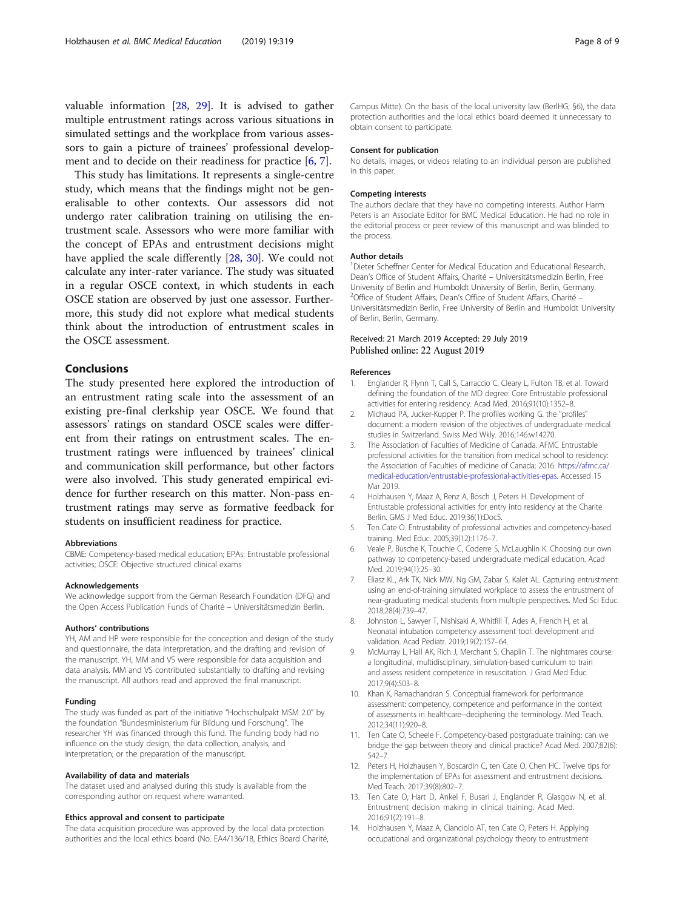<span id="page-7-0"></span>valuable information [[28,](#page-8-0) [29](#page-8-0)]. It is advised to gather multiple entrustment ratings across various situations in simulated settings and the workplace from various assessors to gain a picture of trainees' professional development and to decide on their readiness for practice [6, 7].

This study has limitations. It represents a single-centre study, which means that the findings might not be generalisable to other contexts. Our assessors did not undergo rater calibration training on utilising the entrustment scale. Assessors who were more familiar with the concept of EPAs and entrustment decisions might have applied the scale differently [\[28,](#page-8-0) [30](#page-8-0)]. We could not calculate any inter-rater variance. The study was situated in a regular OSCE context, in which students in each OSCE station are observed by just one assessor. Furthermore, this study did not explore what medical students think about the introduction of entrustment scales in the OSCE assessment.

## Conclusions

The study presented here explored the introduction of an entrustment rating scale into the assessment of an existing pre-final clerkship year OSCE. We found that assessors' ratings on standard OSCE scales were different from their ratings on entrustment scales. The entrustment ratings were influenced by trainees' clinical and communication skill performance, but other factors were also involved. This study generated empirical evidence for further research on this matter. Non-pass entrustment ratings may serve as formative feedback for students on insufficient readiness for practice.

#### Abbreviations

CBME: Competency-based medical education; EPAs: Entrustable professional activities; OSCE: Objective structured clinical exams

#### Acknowledgements

We acknowledge support from the German Research Foundation (DFG) and the Open Access Publication Funds of Charité – Universitätsmedizin Berlin.

#### Authors' contributions

YH, AM and HP were responsible for the conception and design of the study and questionnaire, the data interpretation, and the drafting and revision of the manuscript. YH, MM and VS were responsible for data acquisition and data analysis. MM and VS contributed substantially to drafting and revising the manuscript. All authors read and approved the final manuscript.

#### Funding

The study was funded as part of the initiative "Hochschulpakt MSM 2.0" by the foundation "Bundesministerium für Bildung und Forschung". The researcher YH was financed through this fund. The funding body had no influence on the study design; the data collection, analysis, and interpretation; or the preparation of the manuscript.

#### Availability of data and materials

The dataset used and analysed during this study is available from the corresponding author on request where warranted.

#### Ethics approval and consent to participate

The data acquisition procedure was approved by the local data protection authorities and the local ethics board (No. EA4/136/18, Ethics Board Charité, Campus Mitte). On the basis of the local university law (BerlHG; §6), the data protection authorities and the local ethics board deemed it unnecessary to obtain consent to participate.

#### Consent for publication

No details, images, or videos relating to an individual person are published in this paper.

#### Competing interests

The authors declare that they have no competing interests. Author Harm Peters is an Associate Editor for BMC Medical Education. He had no role in the editorial process or peer review of this manuscript and was blinded to the process.

#### Author details

<sup>1</sup> Dieter Scheffner Center for Medical Education and Educational Research Dean's Office of Student Affairs, Charité – Universitätsmedizin Berlin, Free University of Berlin and Humboldt University of Berlin, Berlin, Germany. <sup>2</sup>Office of Student Affairs, Dean's Office of Student Affairs, Charité -Universitätsmedizin Berlin, Free University of Berlin and Humboldt University of Berlin, Berlin, Germany.

#### Received: 21 March 2019 Accepted: 29 July 2019 Published online: 22 August 2019

#### References

- 1. Englander R, Flynn T, Call S, Carraccio C, Cleary L, Fulton TB, et al. Toward defining the foundation of the MD degree: Core Entrustable professional activities for entering residency. Acad Med. 2016;91(10):1352–8.
- 2. Michaud PA, Jucker-Kupper P. The profiles working G. the "profiles" document: a modern revision of the objectives of undergraduate medical studies in Switzerland. Swiss Med Wkly. 2016;146:w14270.
- 3. The Association of Faculties of Medicine of Canada. AFMC Entrustable professional activities for the transition from medical school to residency: the Association of Faculties of medicine of Canada; 2016. [https://afmc.ca/](https://afmc.ca/medical-education/entrustable-professional-activities-epas) [medical-education/entrustable-professional-activities-epas](https://afmc.ca/medical-education/entrustable-professional-activities-epas). Accessed 15 Mar 2019.
- 4. Holzhausen Y, Maaz A, Renz A, Bosch J, Peters H. Development of Entrustable professional activities for entry into residency at the Charite Berlin. GMS J Med Educ. 2019;36(1):Doc5.
- Ten Cate O. Entrustability of professional activities and competency-based training. Med Educ. 2005;39(12):1176–7.
- 6. Veale P, Busche K, Touchie C, Coderre S, McLaughlin K. Choosing our own pathway to competency-based undergraduate medical education. Acad Med. 2019;94(1):25–30.
- 7. Eliasz KL, Ark TK, Nick MW, Ng GM, Zabar S, Kalet AL. Capturing entrustment: using an end-of-training simulated workplace to assess the entrustment of near-graduating medical students from multiple perspectives. Med Sci Educ. 2018;28(4):739–47.
- 8. Johnston L, Sawyer T, Nishisaki A, Whitfill T, Ades A, French H, et al. Neonatal intubation competency assessment tool: development and validation. Acad Pediatr. 2019;19(2):157–64.
- 9. McMurray L, Hall AK, Rich J, Merchant S, Chaplin T. The nightmares course: a longitudinal, multidisciplinary, simulation-based curriculum to train and assess resident competence in resuscitation. J Grad Med Educ. 2017;9(4):503–8.
- 10. Khan K, Ramachandran S. Conceptual framework for performance assessment: competency, competence and performance in the context of assessments in healthcare--deciphering the terminology. Med Teach. 2012;34(11):920–8.
- 11. Ten Cate O, Scheele F. Competency-based postgraduate training: can we bridge the gap between theory and clinical practice? Acad Med. 2007;82(6): 542–7.
- 12. Peters H, Holzhausen Y, Boscardin C, ten Cate O, Chen HC. Twelve tips for the implementation of EPAs for assessment and entrustment decisions. Med Teach. 2017;39(8):802–7.
- 13. Ten Cate O, Hart D, Ankel F, Busari J, Englander R, Glasgow N, et al. Entrustment decision making in clinical training. Acad Med. 2016;91(2):191–8.
- 14. Holzhausen Y, Maaz A, Cianciolo AT, ten Cate O, Peters H. Applying occupational and organizational psychology theory to entrustment